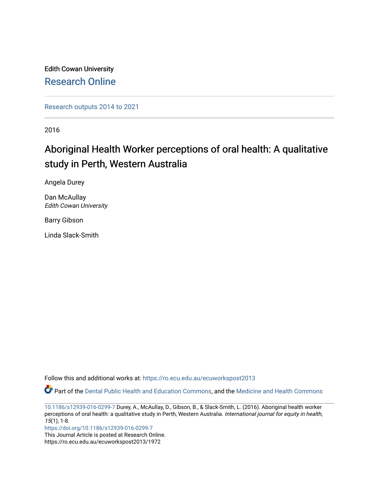Edith Cowan University [Research Online](https://ro.ecu.edu.au/) 

[Research outputs 2014 to 2021](https://ro.ecu.edu.au/ecuworkspost2013) 

2016

## Aboriginal Health Worker perceptions of oral health: A qualitative study in Perth, Western Australia

Angela Durey

Dan McAullay Edith Cowan University

Barry Gibson

Linda Slack-Smith

Follow this and additional works at: [https://ro.ecu.edu.au/ecuworkspost2013](https://ro.ecu.edu.au/ecuworkspost2013?utm_source=ro.ecu.edu.au%2Fecuworkspost2013%2F1972&utm_medium=PDF&utm_campaign=PDFCoverPages) 

Part of the [Dental Public Health and Education Commons,](https://network.bepress.com/hgg/discipline/653?utm_source=ro.ecu.edu.au%2Fecuworkspost2013%2F1972&utm_medium=PDF&utm_campaign=PDFCoverPages) and the [Medicine and Health Commons](https://network.bepress.com/hgg/discipline/422?utm_source=ro.ecu.edu.au%2Fecuworkspost2013%2F1972&utm_medium=PDF&utm_campaign=PDFCoverPages) 

[10.1186/s12939-016-0299-7](http://dx.doi.org/10.1186/s12939-016-0299-7) Durey, A., McAullay, D., Gibson, B., & Slack-Smith, L. (2016). Aboriginal health worker perceptions of oral health: a qualitative study in Perth, Western Australia. International journal for equity in health, 15(1), 1-8.

<https://doi.org/10.1186/s12939-016-0299-7>

This Journal Article is posted at Research Online. https://ro.ecu.edu.au/ecuworkspost2013/1972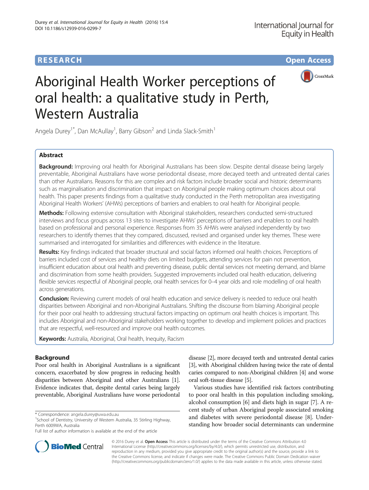## **RESEARCH CHE Open Access**



# Aboriginal Health Worker perceptions of oral health: a qualitative study in Perth, Western Australia

Angela Durey<sup>1\*</sup>, Dan McAullay<sup>1</sup>, Barry Gibson<sup>2</sup> and Linda Slack-Smith<sup>1</sup>

## Abstract

Background: Improving oral health for Aboriginal Australians has been slow. Despite dental disease being largely preventable, Aboriginal Australians have worse periodontal disease, more decayed teeth and untreated dental caries than other Australians. Reasons for this are complex and risk factors include broader social and historic determinants such as marginalisation and discrimination that impact on Aboriginal people making optimum choices about oral health. This paper presents findings from a qualitative study conducted in the Perth metropolitan area investigating Aboriginal Health Workers' (AHWs) perceptions of barriers and enablers to oral health for Aboriginal people.

Methods: Following extensive consultation with Aboriginal stakeholders, researchers conducted semi-structured interviews and focus groups across 13 sites to investigate AHWs' perceptions of barriers and enablers to oral health based on professional and personal experience. Responses from 35 AHWs were analysed independently by two researchers to identify themes that they compared, discussed, revised and organised under key themes. These were summarised and interrogated for similarities and differences with evidence in the literature.

Results: Key findings indicated that broader structural and social factors informed oral health choices. Perceptions of barriers included cost of services and healthy diets on limited budgets, attending services for pain not prevention, insufficient education about oral health and preventing disease, public dental services not meeting demand, and blame and discrimination from some health providers. Suggested improvements included oral health education, delivering flexible services respectful of Aboriginal people, oral health services for 0–4 year olds and role modelling of oral health across generations.

Conclusion: Reviewing current models of oral health education and service delivery is needed to reduce oral health disparities between Aboriginal and non-Aboriginal Australians. Shifting the discourse from blaming Aboriginal people for their poor oral health to addressing structural factors impacting on optimum oral health choices is important. This includes Aboriginal and non-Aboriginal stakeholders working together to develop and implement policies and practices that are respectful, well-resourced and improve oral health outcomes.

Keywords: Australia, Aboriginal, Oral health, Inequity, Racism

## Background

Poor oral health in Aboriginal Australians is a significant concern, exacerbated by slow progress in reducing health disparities between Aboriginal and other Australians [[1](#page-7-0)]. Evidence indicates that, despite dental caries being largely preventable, Aboriginal Australians have worse periodontal



Various studies have identified risk factors contributing to poor oral health in this population including smoking, alcohol consumption [\[6](#page-8-0)] and diets high in sugar [\[7](#page-8-0)]. A recent study of urban Aboriginal people associated smoking and diabetes with severe periodontal disease [[8\]](#page-8-0). Understanding how broader social determinants can undermine



© 2016 Durey et al. Open Access This article is distributed under the terms of the Creative Commons Attribution 4.0 International License [\(http://creativecommons.org/licenses/by/4.0/](http://creativecommons.org/licenses/by/4.0/)), which permits unrestricted use, distribution, and reproduction in any medium, provided you give appropriate credit to the original author(s) and the source, provide a link to the Creative Commons license, and indicate if changes were made. The Creative Commons Public Domain Dedication waiver [\(http://creativecommons.org/publicdomain/zero/1.0/](http://creativecommons.org/publicdomain/zero/1.0/)) applies to the data made available in this article, unless otherwise stated.

<sup>\*</sup> Correspondence: [angela.durey@uwa.edu.au](mailto:angela.durey@uwa.edu.au) <sup>1</sup>

 $1$ School of Dentistry, University of Western Australia, 35 Stirling Highway, Perth 6009WA, Australia

Full list of author information is available at the end of the article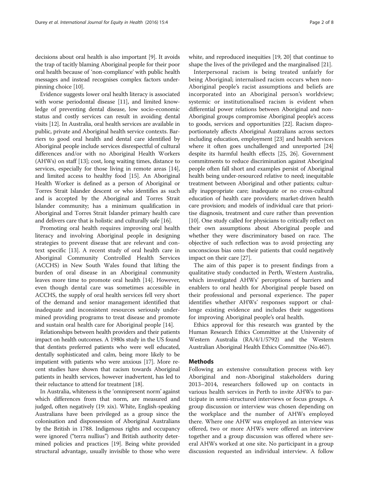decisions about oral health is also important [\[9\]](#page-8-0). It avoids the trap of tacitly blaming Aboriginal people for their poor oral health because of 'non-compliance' with public health messages and instead recognises complex factors underpinning choice [\[10](#page-8-0)].

Evidence suggests lower oral health literacy is associated with worse periodontal disease [\[11](#page-8-0)], and limited knowledge of preventing dental disease, low socio-economic status and costly services can result in avoiding dental visits [\[12](#page-8-0)]. In Australia, oral health services are available in public, private and Aboriginal health service contexts. Barriers to good oral health and dental care identified by Aboriginal people include services disrespectful of cultural differences and/or with no Aboriginal Health Workers (AHWs) on staff [\[13\]](#page-8-0); cost, long waiting times, distance to services, especially for those living in remote areas [[14](#page-8-0)], and limited access to healthy food [[15](#page-8-0)]. An Aboriginal Health Worker is defined as a person of Aboriginal or Torres Strait Islander descent or who identifies as such and is accepted by the Aboriginal and Torres Strait Islander community; has a minimum qualification in Aboriginal and Torres Strait Islander primary health care and delivers care that is holistic and culturally safe [\[16\]](#page-8-0).

Promoting oral health requires improving oral health literacy and involving Aboriginal people in designing strategies to prevent disease that are relevant and context specific [\[13\]](#page-8-0). A recent study of oral health care in Aboriginal Community Controlled Health Services (ACCHS) in New South Wales found that lifting the burden of oral disease in an Aboriginal community leaves more time to promote oral health [[14](#page-8-0)]. However, even though dental care was sometimes accessible in ACCHS, the supply of oral health services fell very short of the demand and senior management identified that inadequate and inconsistent resources seriously undermined providing programs to treat disease and promote and sustain oral health care for Aboriginal people [\[14](#page-8-0)].

Relationships between health providers and their patients impact on health outcomes. A 1980s study in the US found that dentists preferred patients who were well educated, dentally sophisticated and calm, being more likely to be impatient with patients who were anxious [\[17\]](#page-8-0). More recent studies have shown that racism towards Aboriginal patients in health services, however inadvertent, has led to their reluctance to attend for treatment [\[18\]](#page-8-0).

In Australia, whiteness is the 'omnipresent norm' against which differences from that norm, are measured and judged, often negatively (19: xix). White, English-speaking Australians have been privileged as a group since the colonisation and dispossession of Aboriginal Australians by the British in 1788. Indigenous rights and occupancy were ignored ("terra nullius") and British authority determined policies and practices [[19](#page-8-0)]. Being white provided structural advantage, usually invisible to those who were white, and reproduced inequities [\[19, 20](#page-8-0)] that continue to shape the lives of the privileged and the marginalised [[21](#page-8-0)].

Interpersonal racism is being treated unfairly for being Aboriginal; internalised racism occurs when non-Aboriginal people's racist assumptions and beliefs are incorporated into an Aboriginal person's worldview; systemic or institutionalised racism is evident when differential power relations between Aboriginal and non-Aboriginal groups compromise Aboriginal people's access to goods, services and opportunities [\[22\]](#page-8-0). Racism disproportionately affects Aboriginal Australians across sectors including education, employment [[23\]](#page-8-0) and health services where it often goes unchallenged and unreported [[24](#page-8-0)] despite its harmful health effects [[25](#page-8-0), [26\]](#page-8-0). Government commitments to reduce discrimination against Aboriginal people often fall short and examples persist of Aboriginal health being under-resourced relative to need; inequitable treatment between Aboriginal and other patients; culturally inappropriate care; inadequate or no cross-cultural education of health care providers; market-driven health care provision; and models of individual care that prioritise diagnosis, treatment and cure rather than prevention [[10](#page-8-0)]. One study called for physicians to critically reflect on their own assumptions about Aboriginal people and whether they were discriminatory based on race. The objective of such reflection was to avoid projecting any unconscious bias onto their patients that could negatively impact on their care [\[27\]](#page-8-0).

The aim of this paper is to present findings from a qualitative study conducted in Perth, Western Australia, which investigated AHWs' perceptions of barriers and enablers to oral health for Aboriginal people based on their professional and personal experience. The paper identifies whether AHWs' responses support or challenge existing evidence and includes their suggestions for improving Aboriginal people's oral health.

Ethics approval for this research was granted by the Human Research Ethics Committee at the University of Western Australia (RA/4/1/5792) and the Western Australian Aboriginal Health Ethics Committee (No.467).

#### Methods

Following an extensive consultation process with key Aboriginal and non-Aboriginal stakeholders during 2013–2014, researchers followed up on contacts in various health services in Perth to invite AHWs to participate in semi-structured interviews or focus groups. A group discussion or interview was chosen depending on the workplace and the number of AHWs employed there. Where one AHW was employed an interview was offered, two or more AHWs were offered an interview together and a group discussion was offered where several AHWs worked at one site. No participant in a group discussion requested an individual interview. A follow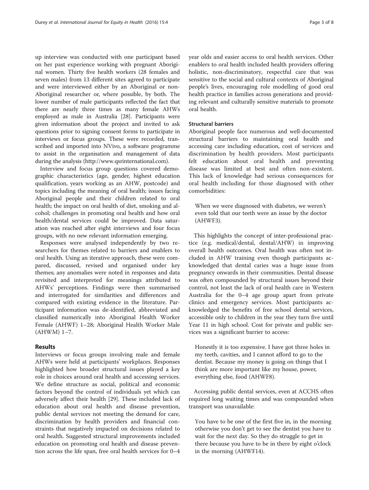up interview was conducted with one participant based on her past experience working with pregnant Aboriginal women. Thirty five health workers (28 females and seven males) from 13 different sites agreed to participate and were interviewed either by an Aboriginal or non-Aboriginal researcher or, where possible, by both. The lower number of male participants reflected the fact that there are nearly three times as many female AHWs employed as male in Australia [\[28\]](#page-8-0). Participants were given information about the project and invited to ask questions prior to signing consent forms to participate in interviews or focus groups. These were recorded, transcribed and imported into NVivo, a software programme to assist in the organisation and management of data during the analysis [\(http://www.qsrinternational.com](http://www.qsrinternational.com)).

Interview and focus group questions covered demographic characteristics (age, gender, highest education qualification, years working as an AHW, postcode) and topics including the meaning of oral health; issues facing Aboriginal people and their children related to oral health; the impact on oral health of diet, smoking and alcohol; challenges in promoting oral health and how oral health/dental services could be improved. Data saturation was reached after eight interviews and four focus groups, with no new relevant information emerging.

Responses were analysed independently by two researchers for themes related to barriers and enablers to oral health. Using an iterative approach, these were compared, discussed, revised and organised under key themes; any anomalies were noted in responses and data revisited and interpreted for meanings attributed to AHWs' perceptions. Findings were then summarised and interrogated for similarities and differences and compared with existing evidence in the literature. Participant information was de-identified, abbreviated and classified numerically into Aboriginal Health Worker Female (AHWF) 1–28; Aboriginal Health Worker Male (AHWM) 1–7.

#### Results

Interviews or focus groups involving male and female AHWs were held at participants' workplaces. Responses highlighted how broader structural issues played a key role in choices around oral health and accessing services. We define structure as social, political and economic factors beyond the control of individuals yet which can adversely affect their health [[29\]](#page-8-0). These included lack of education about oral health and disease prevention, public dental services not meeting the demand for care, discrimination by health providers and financial constraints that negatively impacted on decisions related to oral health. Suggested structural improvements included education on promoting oral health and disease prevention across the life span, free oral health services for 0–4 year olds and easier access to oral health services. Other enablers to oral health included health providers offering holistic, non-discriminatory, respectful care that was sensitive to the social and cultural contexts of Aboriginal people's lives, encouraging role modelling of good oral health practice in families across generations and providing relevant and culturally sensitive materials to promote oral health.

#### Structural barriers

Aboriginal people face numerous and well-documented structural barriers to maintaining oral health and accessing care including education, cost of services and discrimination by health providers. Most participants felt education about oral health and preventing disease was limited at best and often non-existent. This lack of knowledge had serious consequences for oral health including for those diagnosed with other comorbidities:

When we were diagnosed with diabetes, we weren't even told that our teeth were an issue by the doctor (AHWF3).

This highlights the concept of inter-professional practice (e.g. medical/dental, dental/AHW) in improving overall health outcomes. Oral health was often not included in AHW training even though participants acknowledged that dental caries was a huge issue from pregnancy onwards in their communities. Dental disease was often compounded by structural issues beyond their control, not least the lack of oral health care in Western Australia for the 0–4 age group apart from private clinics and emergency services. Most participants acknowledged the benefits of free school dental services, accessible only to children in the year they turn five until Year 11 in high school. Cost for private and public services was a significant barrier to access:

Honestly it is too expensive. I have got three holes in my teeth, cavities, and I cannot afford to go to the dentist. Because my money is going on things that I think are more important like my house, power, everything else, food (AHWF8).

Accessing public dental services, even at ACCHS often required long waiting times and was compounded when transport was unavailable:

You have to be one of the first five in, in the morning otherwise you don't get to see the dentist you have to wait for the next day. So they do struggle to get in there because you have to be in there by eight o'clock in the morning (AHWF14).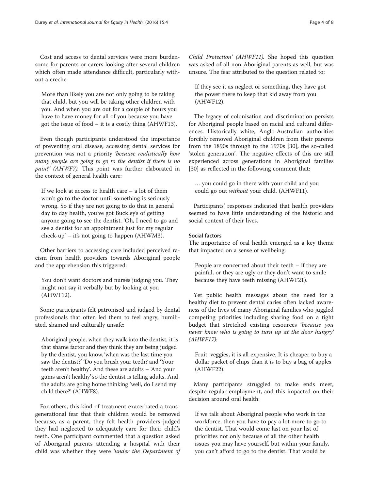Cost and access to dental services were more burdensome for parents or carers looking after several children which often made attendance difficult, particularly without a creche:

More than likely you are not only going to be taking that child, but you will be taking other children with you. And when you are out for a couple of hours you have to have money for all of you because you have got the issue of food – it is a costly thing (AHWF13).

Even though participants understood the importance of preventing oral disease, accessing dental services for prevention was not a priority 'because realistically how many people are going to go to the dentist if there is no pain?' (AHWF7). This point was further elaborated in the context of general health care:

If we look at access to health care – a lot of them won't go to the doctor until something is seriously wrong. So if they are not going to do that in general day to day health, you've got Buckley's of getting anyone going to see the dentist. 'Oh, I need to go and see a dentist for an appointment just for my regular check-up' – it's not going to happen (AHWM3).

Other barriers to accessing care included perceived racism from health providers towards Aboriginal people and the apprehension this triggered:

You don't want doctors and nurses judging you. They might not say it verbally but by looking at you (AHWF12).

Some participants felt patronised and judged by dental professionals that often led them to feel angry, humiliated, shamed and culturally unsafe:

Aboriginal people, when they walk into the dentist, it is that shame factor and they think they are being judged by the dentist, you know,'when was the last time you saw the dentist?' 'Do you brush your teeth? and 'Your teeth aren't healthy'. And these are adults – 'And your gums aren't healthy' so the dentist is telling adults. And the adults are going home thinking 'well, do I send my child there?' (AHWF8).

For others, this kind of treatment exacerbated a transgenerational fear that their children would be removed because, as a parent, they felt health providers judged they had neglected to adequately care for their child's teeth. One participant commented that a question asked of Aboriginal parents attending a hospital with their child was whether they were 'under the Department of Child Protection' (AHWF11). She hoped this question was asked of all non-Aboriginal parents as well, but was unsure. The fear attributed to the question related to:

If they see it as neglect or something, they have got the power there to keep that kid away from you (AHWF12).

The legacy of colonisation and discrimination persists for Aboriginal people based on racial and cultural differences. Historically white, Anglo-Australian authorities forcibly removed Aboriginal children from their parents from the 1890s through to the 1970s [\[30\]](#page-8-0), the so-called 'stolen generation'. The negative effects of this are still experienced across generations in Aboriginal families [[30\]](#page-8-0) as reflected in the following comment that:

… you could go in there with your child and you could go out without your child. (AHWF11).

Participants' responses indicated that health providers seemed to have little understanding of the historic and social context of their lives.

#### Social factors

The importance of oral health emerged as a key theme that impacted on a sense of wellbeing:

People are concerned about their teeth – if they are painful, or they are ugly or they don't want to smile because they have teeth missing (AHWF21).

Yet public health messages about the need for a healthy diet to prevent dental caries often lacked awareness of the lives of many Aboriginal families who juggled competing priorities including sharing food on a tight budget that stretched existing resources 'because you never know who is going to turn up at the door hungry' (AHWF17):

Fruit, veggies, it is all expensive. It is cheaper to buy a dollar packet of chips than it is to buy a bag of apples (AHWF22).

Many participants struggled to make ends meet, despite regular employment, and this impacted on their decision around oral health:

If we talk about Aboriginal people who work in the workforce, then you have to pay a lot more to go to the dentist. That would come last on your list of priorities not only because of all the other health issues you may have yourself, but within your family, you can't afford to go to the dentist. That would be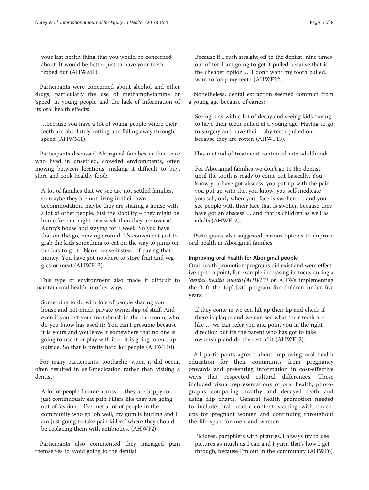your last health thing that you would be concerned about. It would be better just to have your teeth ripped out (AHWM1).

Participants were concerned about alcohol and other drugs, particularly the use of methamphetamine or 'speed' in young people and the lack of information of its oral health effects:

…because you have a lot of young people where their teeth are absolutely rotting and falling away through speed (AHWM1).

Participants discussed Aboriginal families in their care who lived in unsettled, crowded environments, often moving between locations, making it difficult to buy, store and cook healthy food:

A lot of families that we see are not settled families, so maybe they are not living in their own accommodation, maybe they are sharing a house with a lot of other people. Just the stability – they might be home for one night or a week then they are over at Aunty's house and staying for a week. So you have that on-the-go, moving around. It's convenient just to grab the kids something to eat on the way to jump on the bus to go to Nan's house instead of paying that money. You have got nowhere to store fruit and veggies or meat (AHWF13).

This type of environment also made it difficult to maintain oral health in other ways:

Something to do with lots of people sharing your house and not much private ownership of stuff. And even if you left your toothbrush in the bathroom, who do you know has used it? You can't presume because it is yours and you leave it somewhere that no one is going to use it or play with it or it is going to end up outside. So that is pretty hard for people (AHWF10).

For many participants, toothache, when it did occur, often resulted in self-medication rather than visiting a dentist:

A lot of people I come across … they are happy to just continuously eat pain killers like they are going out of fashion …I've met a lot of people in the community who go 'oh well, my gum is hurting and I am just going to take pain killers' where they should be replacing them with antibiotics. (AHWF2)

Participants also commented they managed pain themselves to avoid going to the dentist:

Because if I rush straight off to the dentist, nine times out of ten I am going to get it pulled because that is the cheaper option … I don't want my tooth pulled. I want to keep my teeth (AHWF22).

Nonetheless, dental extraction seemed common from a young age because of caries:

Seeing kids with a lot of decay and seeing kids having to have their teeth pulled at a young age. Having to go to surgery and have their baby teeth pulled out because they are rotten (AHWF13).

This method of treatment continued into adulthood:

For Aboriginal families we don't go to the dentist until the tooth is ready to come out basically. You know you have got abscess, you put up with the pain, you put up with the, you know, you self-medicate yourself, only when your face is swollen …. and you see people with their face that is swollen because they have got an abscess … and that is children as well as adults.(AHWF12).

Participants also suggested various options to improve oral health in Aboriginal families.

#### Improving oral health for Aboriginal people

Oral health promotion programs did exist and were effective up to a point, for example increasing its focus during a 'dental health month'(AHWF7) or AHWs implementing the 'Lift the Lip' [\[31\]](#page-8-0) program for children under five years:

If they come in we can lift up their lip and check if there is plaque and we can see what their teeth are like … we can refer you and point you in the right direction but it's the parent who has got to take ownership and do the rest of it (AHWF12).

All participants agreed about improving oral health education for their community from pregnancy onwards and presenting information in cost-effective ways that respected cultural differences. These included visual representations of oral health, photographs comparing healthy and decayed teeth and using flip charts. General health promotion needed to include oral health content starting with checkups for pregnant women and continuing throughout the life-span for men and women.

Pictures, pamphlets with pictures. I always try to use pictures as much as I can and I yarn, that's how I get through, because I'm out in the community (AHWF6)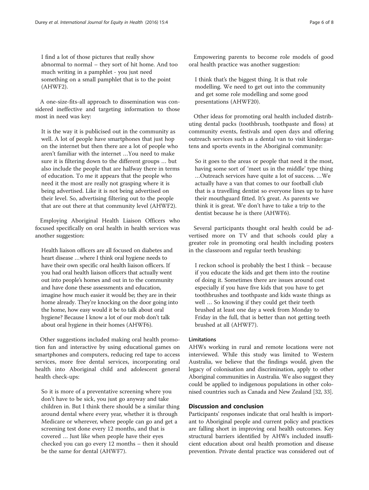I find a lot of those pictures that really show abnormal to normal – they sort of hit home. And too much writing in a pamphlet - you just need something on a small pamphlet that is to the point (AHWF2).

A one-size-fits-all approach to dissemination was considered ineffective and targeting information to those most in need was key:

It is the way it is publicised out in the community as well. A lot of people have smartphones that just hop on the internet but then there are a lot of people who aren't familiar with the internet …You need to make sure it is filtering down to the different groups … but also include the people that are halfway there in terms of education. To me it appears that the people who need it the most are really not grasping where it is being advertised. Like it is not being advertised on their level. So, advertising filtering out to the people that are out there at that community level (AHWF2).

Employing Aboriginal Health Liaison Officers who focused specifically on oral health in health services was another suggestion:

Health liaison officers are all focused on diabetes and heart disease …where I think oral hygiene needs to have their own specific oral health liaison officers. If you had oral health liaison officers that actually went out into people's homes and out in to the community and have done these assessments and education, imagine how much easier it would be; they are in their home already. They're knocking on the door going into the home, how easy would it be to talk about oral hygiene? Because I know a lot of our mob don't talk about oral hygiene in their homes (AHWF6).

Other suggestions included making oral health promotion fun and interactive by using educational games on smartphones and computers, reducing red tape to access services, more free dental services, incorporating oral health into Aboriginal child and adolescent general health check-ups:

So it is more of a preventative screening where you don't have to be sick, you just go anyway and take children in. But I think there should be a similar thing around dental where every year, whether it is through Medicare or wherever, where people can go and get a screening test done every 12 months, and that is covered … Just like when people have their eyes checked you can go every 12 months – then it should be the same for dental (AHWF7).

Empowering parents to become role models of good oral health practice was another suggestion:

I think that's the biggest thing. It is that role modelling. We need to get out into the community and get some role modelling and some good presentations (AHWF20).

Other ideas for promoting oral health included distributing dental packs (toothbrush, toothpaste and floss) at community events, festivals and open days and offering outreach services such as a dental van to visit kindergartens and sports events in the Aboriginal community:

So it goes to the areas or people that need it the most, having some sort of 'meet us in the middle' type thing …Outreach services have quite a lot of success. …We actually have a van that comes to our football club that is a travelling dentist so everyone lines up to have their mouthguard fitted. It's great. As parents we think it is great. We don't have to take a trip to the dentist because he is there (AHWF6).

Several participants thought oral health could be advertised more on TV and that schools could play a greater role in promoting oral health including posters in the classroom and regular teeth brushing:

I reckon school is probably the best I think – because if you educate the kids and get them into the routine of doing it. Sometimes there are issues around cost especially if you have five kids that you have to get toothbrushes and toothpaste and kids waste things as well … So knowing if they could get their teeth brushed at least one day a week from Monday to Friday in the full, that is better than not getting teeth brushed at all (AHWF7).

#### Limitations

AHWs working in rural and remote locations were not interviewed. While this study was limited to Western Australia, we believe that the findings would, given the legacy of colonisation and discrimination, apply to other Aboriginal communities in Australia. We also suggest they could be applied to indigenous populations in other colonised countries such as Canada and New Zealand [\[32](#page-8-0), [33](#page-8-0)].

#### Discussion and conclusion

Participants' responses indicate that oral health is important to Aboriginal people and current policy and practices are falling short in improving oral health outcomes. Key structural barriers identified by AHWs included insufficient education about oral health promotion and disease prevention. Private dental practice was considered out of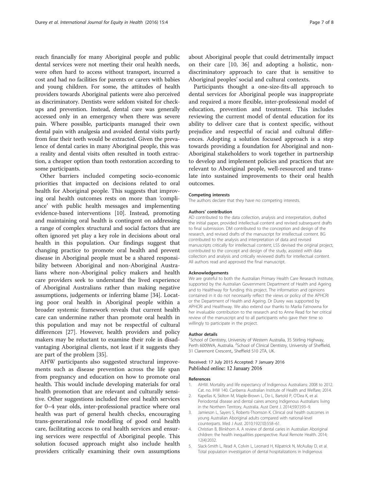<span id="page-7-0"></span>reach financially for many Aboriginal people and public dental services were not meeting their oral health needs, were often hard to access without transport, incurred a cost and had no facilities for parents or carers with babies and young children. For some, the attitudes of health providers towards Aboriginal patients were also perceived as discriminatory. Dentists were seldom visited for checkups and prevention. Instead, dental care was generally accessed only in an emergency when there was severe pain. Where possible, participants managed their own dental pain with analgesia and avoided dental visits partly from fear their teeth would be extracted. Given the prevalence of dental caries in many Aboriginal people, this was a reality and dental visits often resulted in tooth extraction, a cheaper option than tooth restoration according to some participants.

Other barriers included competing socio-economic priorities that impacted on decisions related to oral health for Aboriginal people. This suggests that improving oral health outcomes rests on more than 'compliance' with public health messages and implementing evidence-based interventions [\[10\]](#page-8-0). Instead, promoting and maintaining oral health is contingent on addressing a range of complex structural and social factors that are often ignored yet play a key role in decisions about oral health in this population. Our findings suggest that changing practice to promote oral health and prevent disease in Aboriginal people must be a shared responsibility between Aboriginal and non-Aboriginal Australians where non-Aboriginal policy makers and health care providers seek to understand the lived experience of Aboriginal Australians rather than making negative assumptions, judgements or inferring blame [[34\]](#page-8-0). Locating poor oral health in Aboriginal people within a broader systemic framework reveals that current health care can undermine rather than promote oral health in this population and may not be respectful of cultural differences [\[27\]](#page-8-0). However, health providers and policy makers may be reluctant to examine their role in disadvantaging Aboriginal clients, not least if it suggests they are part of the problem [[35](#page-8-0)].

AHW participants also suggested structural improvements such as disease prevention across the life span from pregnancy and education on how to promote oral health. This would include developing materials for oral health promotion that are relevant and culturally sensitive. Other suggestions included free oral health services for 0–4 year olds, inter-professional practice where oral health was part of general health checks, encouraging trans-generational role modelling of good oral health care, facilitating access to oral health services and ensuring services were respectful of Aboriginal people. This solution focused approach might also include health providers critically examining their own assumptions about Aboriginal people that could detrimentally impact on their care [\[10, 36\]](#page-8-0) and adopting a holistic, nondiscriminatory approach to care that is sensitive to Aboriginal peoples' social and cultural contexts.

Participants thought a one-size-fits-all approach to dental services for Aboriginal people was inappropriate and required a more flexible, inter-professional model of education, prevention and treatment. This includes reviewing the current model of dental education for its ability to deliver care that is context specific, without prejudice and respectful of racial and cultural differences. Adopting a solution focused approach is a step towards providing a foundation for Aboriginal and non-Aboriginal stakeholders to work together in partnership to develop and implement policies and practices that are relevant to Aboriginal people, well-resourced and translate into sustained improvements to their oral health outcomes.

#### Competing interests

The authors declare that they have no competing interests.

#### Authors' contribution

AD contributed to the data collection, analysis and interpretation, drafted the initial paper, provided intellectual content and revised subsequent drafts to final submission. DM contributed to the conception and design of the research, and revised drafts of the manuscript for intellectual content. BG contributed to the analysis and interpretation of data and revised manuscripts critically for intellectual content; LSS devised the original project, contributed to the concept and design of the study, assisted with data collection and analysis and critically reviewed drafts for intellectual content. All authors read and approved the final manuscript.

#### Acknowledgements

We are grateful to both the Australian Primary Health Care Research Institute, supported by the Australian Government Department of Health and Ageing and to Healthway for funding this project. The information and opinions contained in it do not necessarily reflect the views or policy of the APHCRI or the Department of Health and Ageing. Dr Durey was supported by APHCRI and Healthway. We also extend our thanks to Marlia Fatnowna for her invaluable contribution to the research and to Anne Read for her critical review of the manuscript and to all participants who gave their time so willingly to participate in the project.

#### Author details

<sup>1</sup>School of Dentistry, University of Western Australia, 35 Stirling Highway Perth 6009WA, Australia. <sup>2</sup>School of Clinical Dentistry, University of Sheffield 31 Claremont Crescent,, Sheffield S10 2TA, UK.

#### Received: 17 July 2015 Accepted: 7 January 2016 Published online: 12 January 2016

#### References

- 1. AIHW. Mortality and life expectancy of Indigenous Australians: 2008 to 2012. Cat. no. IHW 140. Canberra: Australian Institute of Health and Welfare; 2014. 2. Kapellas K, Skilton M, Maple-Brown L, Do L, Bartold P, O'Dea K, et al.
- Periodontal disease and dental caires among Indigenous Australians living in the Northern Territory, Australia. Aust Dent J. 2014;59(1):93–9.
- 3. Jamieson L, Sayers S, Roberts-Thomson K. Clinical oral health outcomes in young Australian Aboriginal adults compared with national-level counterparts. Med J Aust. 2010;192(10):558–61.
- 4. Christian B, Blinkhorn A. A review of dental caries in Australian Aboriginal children: the health inequalities pperspective. Rural Remote Health. 2014; 12(4):2032.
- 5. Slack-Smith L, Read A, Colvin L, Leonard H, Kilpatrick N, McAullay D, et al. Total population investigation of dental hospitalizations in Indigenous